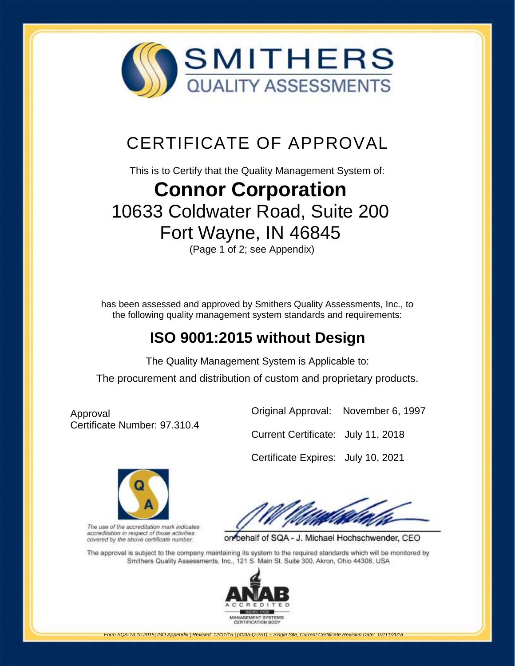

# CERTIFICATE OF APPROVAL

This is to Certify that the Quality Management System of:

# **Connor Corporation**

## [10633 Coldwater Road, Suite 200](http://www.smithersregistrar.com/) Fort Wayne, IN 46845

(Page 1 of 2; see Appendix)

has been assessed and approved by Smithers Quality Assessments, Inc., to the following quality management system standards and requirements:

### **ISO 9001:2015 without Design**

The Quality Management System is Applicable to:

The procurement and distribution of custom and proprietary products.

Approval Certificate Number: 97.310.4



Original Approval: November 6, 1997

Certificate Expires: July 10, 2021



The use of the accreditation mark indicates accreditation in respect of those activities covered by the above certificate number.

on behalf of SQA - J. Michael Hochschwender, CEO

The approval is subject to the company maintaining its system to the required standards which will be monitored by Smithers Quality Assessments, Inc., 121 S. Main St. Suite 300, Akron, Ohio 44308, USA



*Form SQA-13.1c.2015| ISO Appendix | Revised: 12/01/15 | (4035-Q-251) – Single Site, Current Certificate Revision Date: 07/11/2018*